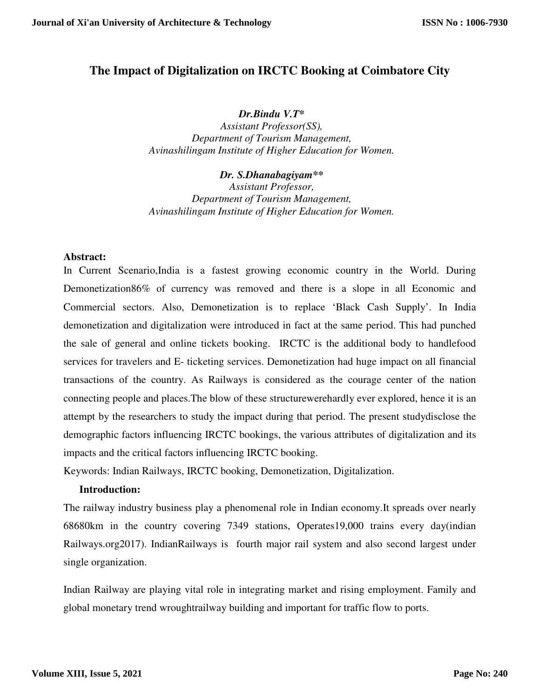# **The Impact of Digitalization on IRCTC Booking at Coimbatore City**

*Dr.Bindu V.T\** 

*Assistant Professor(SS), Department of Tourism Management, Avinashilingam Institute of Higher Education for Women.* 

#### *Dr. S.Dhanabagiyam\*\**

*Assistant Professor, Department of Tourism Management, Avinashilingam Institute of Higher Education for Women.* 

#### **Abstract:**

In Current Scenario,India is a fastest growing economic country in the World. During Demonetization86% of currency was removed and there is a slope in all Economic and Commercial sectors. Also, Demonetization is to replace 'Black Cash Supply'. In India demonetization and digitalization were introduced in fact at the same period. This had punched the sale of general and online tickets booking. IRCTC is the additional body to handlefood services for travelers and E- ticketing services. Demonetization had huge impact on all financial transactions of the country. As Railways is considered as the courage center of the nation connecting people and places.The blow of these structurewerehardly ever explored, hence it is an attempt by the researchers to study the impact during that period. The present studydisclose the demographic factors influencing IRCTC bookings, the various attributes of digitalization and its impacts and the critical factors influencing IRCTC booking.

Keywords: Indian Railways, IRCTC booking, Demonetization, Digitalization.

# **Introduction:**

The railway industry business play a phenomenal role in Indian economy.It spreads over nearly 68680km in the country covering 7349 stations, Operates19,000 trains every day(indian Railways.org2017). IndianRailways is fourth major rail system and also second largest under single organization.

Indian Railway are playing vital role in integrating market and rising employment. Family and global monetary trend wroughtrailway building and important for traffic flow to ports.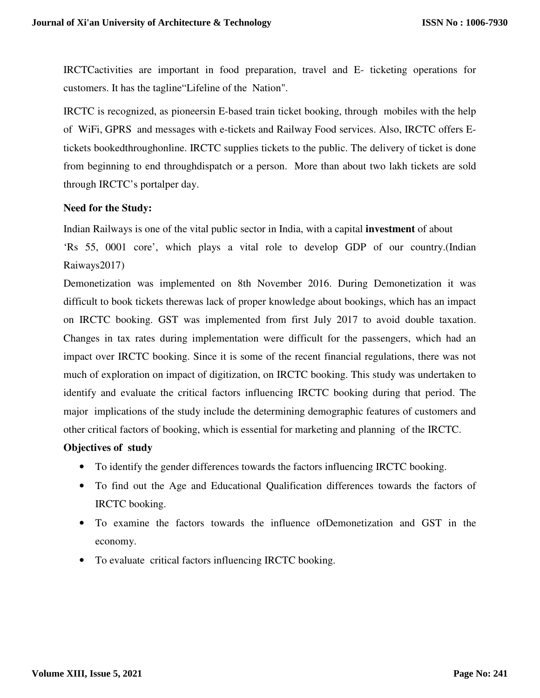IRCTCactivities are important in food preparation, travel and E- ticketing operations for customers. It has the tagline"Lifeline of the Nation".

IRCTC is recognized, as pioneersin E-based train ticket booking, through mobiles with the help of WiFi, GPRS and messages with e-tickets and Railway Food services. Also, IRCTC offers Etickets bookedthroughonline. IRCTC supplies tickets to the public. The delivery of ticket is done from beginning to end throughdispatch or a person. More than about two lakh tickets are sold through IRCTC's portalper day.

# **Need for the Study:**

Indian Railways is one of the vital public sector in India, with a capital **investment** of about 'Rs 55, 0001 core', which plays a vital role to develop GDP of our country.(Indian Raiways2017)

Demonetization was implemented on 8th November 2016. During Demonetization it was difficult to book tickets therewas lack of proper knowledge about bookings, which has an impact on IRCTC booking. GST was implemented from first July 2017 to avoid double taxation. Changes in tax rates during implementation were difficult for the passengers, which had an impact over IRCTC booking. Since it is some of the recent financial regulations, there was not much of exploration on impact of digitization, on IRCTC booking. This study was undertaken to identify and evaluate the critical factors influencing IRCTC booking during that period. The major implications of the study include the determining demographic features of customers and other critical factors of booking, which is essential for marketing and planning of the IRCTC.

# **Objectives of study**

- To identify the gender differences towards the factors influencing IRCTC booking.
- To find out the Age and Educational Qualification differences towards the factors of IRCTC booking.
- To examine the factors towards the influence ofDemonetization and GST in the economy.
- To evaluate critical factors influencing IRCTC booking.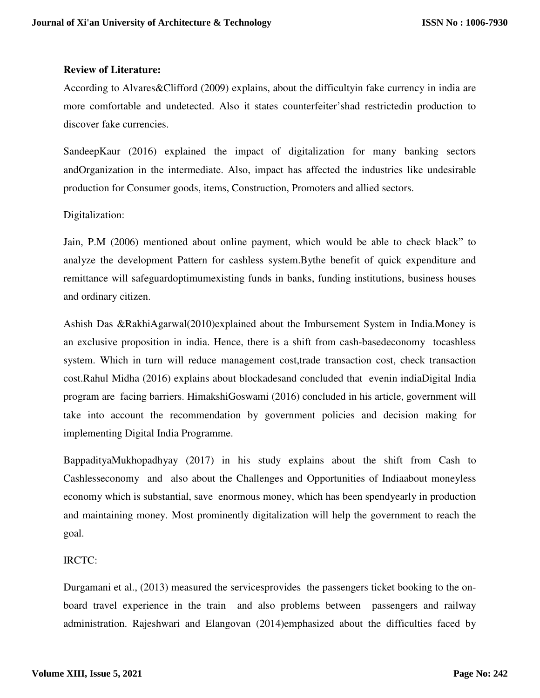# **Review of Literature:**

According to Alvares&Clifford (2009) explains, about the difficultyin fake currency in india are more comfortable and undetected. Also it states counterfeiter'shad restrictedin production to discover fake currencies.

SandeepKaur (2016) explained the impact of digitalization for many banking sectors andOrganization in the intermediate. Also, impact has affected the industries like undesirable production for Consumer goods, items, Construction, Promoters and allied sectors.

Digitalization:

Jain, P.M (2006) mentioned about online payment, which would be able to check black" to analyze the development Pattern for cashless system.Bythe benefit of quick expenditure and remittance will safeguardoptimumexisting funds in banks, funding institutions, business houses and ordinary citizen.

Ashish Das &RakhiAgarwal(2010)explained about the Imbursement System in India.Money is an exclusive proposition in india. Hence, there is a shift from cash-basedeconomy tocashless system. Which in turn will reduce management cost,trade transaction cost, check transaction cost.Rahul Midha (2016) explains about blockadesand concluded that evenin indiaDigital India program are facing barriers. HimakshiGoswami (2016) concluded in his article, government will take into account the recommendation by government policies and decision making for implementing Digital India Programme.

BappadityaMukhopadhyay (2017) in his study explains about the shift from Cash to Cashlesseconomy and also about the Challenges and Opportunities of Indiaabout moneyless economy which is substantial, save enormous money, which has been spendyearly in production and maintaining money. Most prominently digitalization will help the government to reach the goal.

# IRCTC:

Durgamani et al., (2013) measured the servicesprovides the passengers ticket booking to the onboard travel experience in the train and also problems between passengers and railway administration. Rajeshwari and Elangovan (2014)emphasized about the difficulties faced by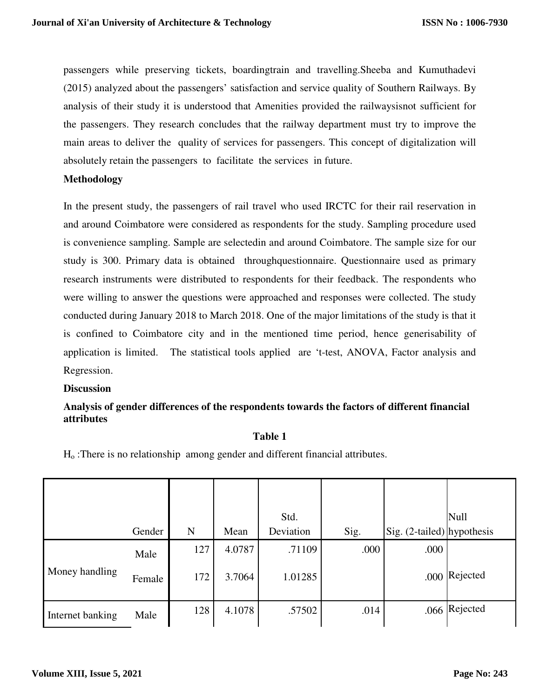passengers while preserving tickets, boardingtrain and travelling.Sheeba and Kumuthadevi (2015) analyzed about the passengers' satisfaction and service quality of Southern Railways. By analysis of their study it is understood that Amenities provided the railwaysisnot sufficient for the passengers. They research concludes that the railway department must try to improve the main areas to deliver the quality of services for passengers. This concept of digitalization will absolutely retain the passengers to facilitate the services in future.

#### **Methodology**

In the present study, the passengers of rail travel who used IRCTC for their rail reservation in and around Coimbatore were considered as respondents for the study. Sampling procedure used is convenience sampling. Sample are selectedin and around Coimbatore. The sample size for our study is 300. Primary data is obtained throughquestionnaire. Questionnaire used as primary research instruments were distributed to respondents for their feedback. The respondents who were willing to answer the questions were approached and responses were collected. The study conducted during January 2018 to March 2018. One of the major limitations of the study is that it is confined to Coimbatore city and in the mentioned time period, hence generisability of application is limited. The statistical tools applied are 't-test, ANOVA, Factor analysis and Regression.

# **Discussion**

# **Analysis of gender differences of the respondents towards the factors of different financial attributes**

|                  |        |     |        | Std.      |      |                               | <b>Null</b>   |
|------------------|--------|-----|--------|-----------|------|-------------------------------|---------------|
|                  | Gender | N   | Mean   | Deviation | Sig. | Sig. $(2$ -tailed) hypothesis |               |
|                  | Male   | 127 | 4.0787 | .71109    | .000 | .000                          |               |
| Money handling   | Female | 172 | 3.7064 | 1.01285   |      | .000                          | Rejected      |
| Internet banking | Male   | 128 | 4.1078 | .57502    | .014 |                               | .066 Rejected |

# **Table 1**

Ho :There is no relationship among gender and different financial attributes.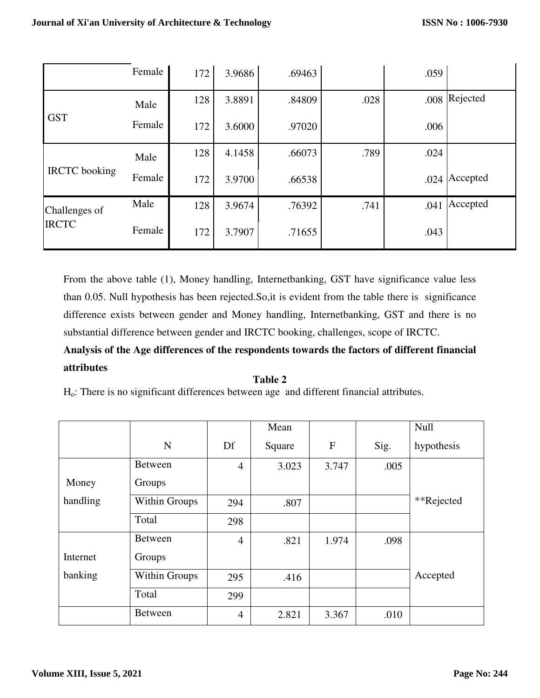|                      | Female | 172 | 3.9686 | .69463 |      | .059 |          |
|----------------------|--------|-----|--------|--------|------|------|----------|
|                      | Male   | 128 | 3.8891 | .84809 | .028 | .008 | Rejected |
| <b>GST</b>           | Female | 172 | 3.6000 | .97020 |      | .006 |          |
|                      | Male   | 128 | 4.1458 | .66073 | .789 | .024 |          |
| <b>IRCTC</b> booking | Female | 172 | 3.9700 | .66538 |      | .024 | Accepted |
| Challenges of        | Male   | 128 | 3.9674 | .76392 | .741 | .041 | Accepted |
| <b>IRCTC</b>         | Female | 172 | 3.7907 | .71655 |      | .043 |          |

From the above table (1), Money handling, Internetbanking, GST have significance value less than 0.05. Null hypothesis has been rejected.So,it is evident from the table there is significance difference exists between gender and Money handling, Internetbanking, GST and there is no substantial difference between gender and IRCTC booking, challenges, scope of IRCTC.

# **Analysis of the Age differences of the respondents towards the factors of different financial attributes**

# **Table 2**  Ho: There is no significant differences between age and different financial attributes.

|          |                      |                | Mean   |              |      | <b>Null</b> |
|----------|----------------------|----------------|--------|--------------|------|-------------|
|          | N                    | Df             | Square | $\mathbf{F}$ | Sig. | hypothesis  |
|          | Between              | $\overline{4}$ | 3.023  | 3.747        | .005 |             |
| Money    | Groups               |                |        |              |      |             |
| handling | <b>Within Groups</b> | 294            | .807   |              |      | **Rejected  |
|          | Total                | 298            |        |              |      |             |
|          | <b>Between</b>       | $\overline{4}$ | .821   | 1.974        | .098 |             |
| Internet | Groups               |                |        |              |      |             |
| banking  | Within Groups        | 295            | .416   |              |      | Accepted    |
|          | Total                | 299            |        |              |      |             |
|          | <b>Between</b>       | $\overline{4}$ | 2.821  | 3.367        | .010 |             |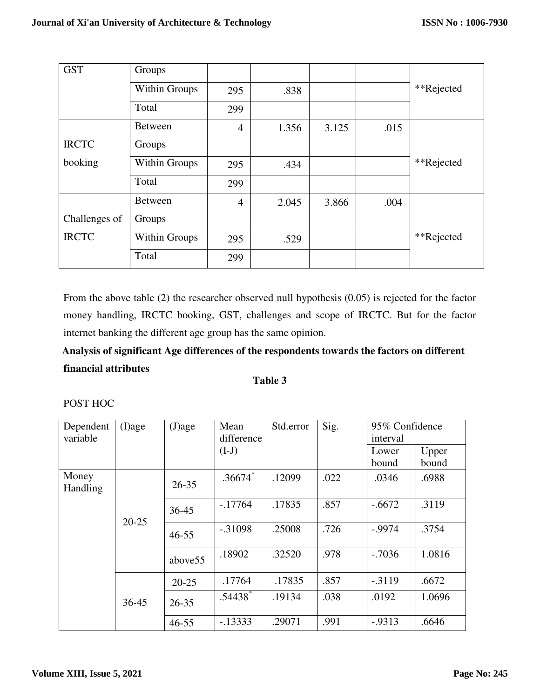| <b>GST</b>    | Groups         |                |       |       |      |            |
|---------------|----------------|----------------|-------|-------|------|------------|
|               | Within Groups  | 295            | .838  |       |      | **Rejected |
|               | Total          | 299            |       |       |      |            |
|               | <b>Between</b> | $\overline{4}$ | 1.356 | 3.125 | .015 |            |
| <b>IRCTC</b>  | Groups         |                |       |       |      |            |
| booking       | Within Groups  | 295            | .434  |       |      | **Rejected |
|               | Total          | 299            |       |       |      |            |
|               | <b>Between</b> | $\overline{4}$ | 2.045 | 3.866 | .004 |            |
| Challenges of | Groups         |                |       |       |      |            |
| <b>IRCTC</b>  | Within Groups  | 295            | .529  |       |      | **Rejected |
|               | Total          | 299            |       |       |      |            |

From the above table (2) the researcher observed null hypothesis (0.05) is rejected for the factor money handling, IRCTC booking, GST, challenges and scope of IRCTC. But for the factor internet banking the different age group has the same opinion.

 **Analysis of significant Age differences of the respondents towards the factors on different financial attributes** 

#### **Table 3**

| Dependent<br>variable | (I)age    | $(J)$ age           | Mean<br>difference | Std.error | Sig. | 95% Confidence<br>interval |                |
|-----------------------|-----------|---------------------|--------------------|-----------|------|----------------------------|----------------|
|                       |           |                     | $(I-J)$            |           |      | Lower<br>bound             | Upper<br>bound |
| Money<br>Handling     |           | $26 - 35$           | $.36674*$          | .12099    | .022 | .0346                      | .6988          |
|                       | $20 - 25$ | $36 - 45$           | $-17764$           | .17835    | .857 | $-.6672$                   | .3119          |
|                       |           | $46 - 55$           | $-.31098$          | .25008    | .726 | $-.9974$                   | .3754          |
|                       |           | above <sub>55</sub> | .18902             | .32520    | .978 | $-.7036$                   | 1.0816         |
|                       |           | $20 - 25$           | .17764             | .17835    | .857 | $-0.3119$                  | .6672          |
|                       | 36-45     | $26 - 35$           | .54438             | .19134    | .038 | .0192                      | 1.0696         |
|                       |           | $46 - 55$           | $-13333$           | .29071    | .991 | $-0.9313$                  | .6646          |

# POST HOC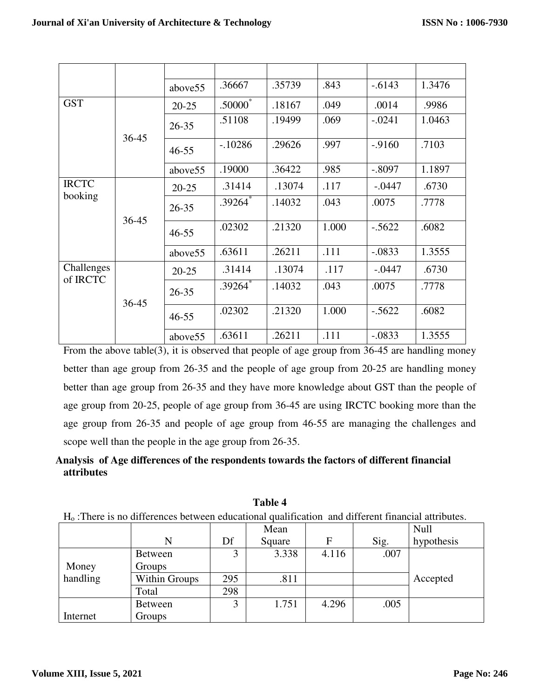|                         |           | above <sub>55</sub> | .36667                | .35739 | .843  | $-0.6143$ | 1.3476 |
|-------------------------|-----------|---------------------|-----------------------|--------|-------|-----------|--------|
| <b>GST</b>              |           | $20 - 25$           | $.50000*$             | .18167 | .049  | .0014     | .9986  |
|                         |           | $26 - 35$           | .51108                | .19499 | .069  | $-.0241$  | 1.0463 |
| $36 - 45$               |           | $46 - 55$           | $-.10286$             | .29626 | .997  | $-9160$   | .7103  |
|                         |           | above <sub>55</sub> | .19000                | .36422 | .985  | $-.8097$  | 1.1897 |
| <b>IRCTC</b><br>booking | $36 - 45$ | $20 - 25$           | .31414                | .13074 | .117  | $-.0447$  | .6730  |
|                         |           | $26 - 35$           | $.39264$ <sup>*</sup> | .14032 | .043  | .0075     | .7778  |
|                         |           | $46 - 55$           | .02302                | .21320 | 1.000 | $-.5622$  | .6082  |
|                         |           | above55             | .63611                | .26211 | .111  | $-.0833$  | 1.3555 |
| Challenges<br>of IRCTC  |           | $20 - 25$           | .31414                | .13074 | .117  | $-.0447$  | .6730  |
|                         | $36 - 45$ | $26 - 35$           | $.39264$ <sup>*</sup> | .14032 | .043  | .0075     | .7778  |
|                         |           | $46 - 55$           | .02302                | .21320 | 1.000 | $-.5622$  | .6082  |
|                         |           | above <sub>55</sub> | .63611                | .26211 | .111  | $-.0833$  | 1.3555 |

From the above table(3), it is observed that people of age group from 36-45 are handling money better than age group from 26-35 and the people of age group from 20-25 are handling money better than age group from 26-35 and they have more knowledge about GST than the people of age group from 20-25, people of age group from 36-45 are using IRCTC booking more than the age group from 26-35 and people of age group from 46-55 are managing the challenges and scope well than the people in the age group from 26-35.

# **Analysis of Age differences of the respondents towards the factors of different financial attributes**

|          | $H_0$ : There is no differences between equeational qualification and different financial attributes. |     |        |       |      |            |  |  |
|----------|-------------------------------------------------------------------------------------------------------|-----|--------|-------|------|------------|--|--|
|          |                                                                                                       |     | Mean   |       |      | Null       |  |  |
|          | N                                                                                                     | Df  | Square | F     | Sig. | hypothesis |  |  |
|          | <b>Between</b>                                                                                        |     | 3.338  | 4.116 | .007 |            |  |  |
| Money    | Groups                                                                                                |     |        |       |      |            |  |  |
| handling | Within Groups                                                                                         | 295 | .811   |       |      | Accepted   |  |  |
|          | Total                                                                                                 | 298 |        |       |      |            |  |  |
|          | <b>Between</b>                                                                                        | 3   | 1.751  | 4.296 | .005 |            |  |  |
| Internet | Groups                                                                                                |     |        |       |      |            |  |  |

**Table 4**  Ho :There is no differences between educational qualification and different financial attributes.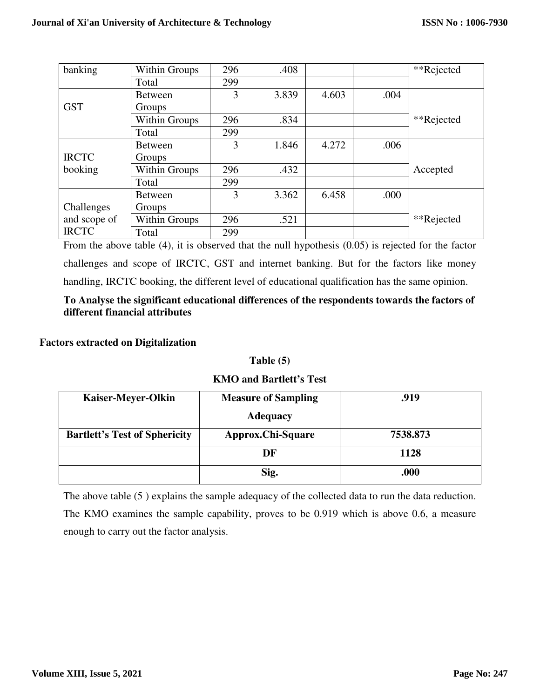| banking      | <b>Within Groups</b> | 296 | .408  |       |      | **Rejected |
|--------------|----------------------|-----|-------|-------|------|------------|
|              | Total                | 299 |       |       |      |            |
|              | <b>Between</b>       | 3   | 3.839 | 4.603 | .004 |            |
| <b>GST</b>   | Groups               |     |       |       |      |            |
|              | <b>Within Groups</b> | 296 | .834  |       |      | **Rejected |
|              | Total                | 299 |       |       |      |            |
|              | <b>Between</b>       | 3   | 1.846 | 4.272 | .006 |            |
| <b>IRCTC</b> | Groups               |     |       |       |      |            |
| booking      | <b>Within Groups</b> | 296 | .432  |       |      | Accepted   |
|              | Total                | 299 |       |       |      |            |
|              | <b>Between</b>       | 3   | 3.362 | 6.458 | .000 |            |
| Challenges   | Groups               |     |       |       |      |            |
| and scope of | <b>Within Groups</b> | 296 | .521  |       |      | **Rejected |
| <b>IRCTC</b> | Total                | 299 |       |       |      |            |

From the above table (4), it is observed that the null hypothesis (0.05) is rejected for the factor challenges and scope of IRCTC, GST and internet banking. But for the factors like money handling, IRCTC booking, the different level of educational qualification has the same opinion.

# **To Analyse the significant educational differences of the respondents towards the factors of different financial attributes**

# **Factors extracted on Digitalization**

# **Table (5)**

# **KMO and Bartlett's Test**

| <b>Kaiser-Meyer-Olkin</b>            | <b>Measure of Sampling</b> | .919     |  |  |
|--------------------------------------|----------------------------|----------|--|--|
|                                      | <b>Adequacy</b>            |          |  |  |
| <b>Bartlett's Test of Sphericity</b> | Approx.Chi-Square          | 7538.873 |  |  |
|                                      | DF                         | 1128     |  |  |
|                                      | Sig.                       | .000     |  |  |

The above table (5 ) explains the sample adequacy of the collected data to run the data reduction. The KMO examines the sample capability, proves to be 0.919 which is above 0.6, a measure enough to carry out the factor analysis.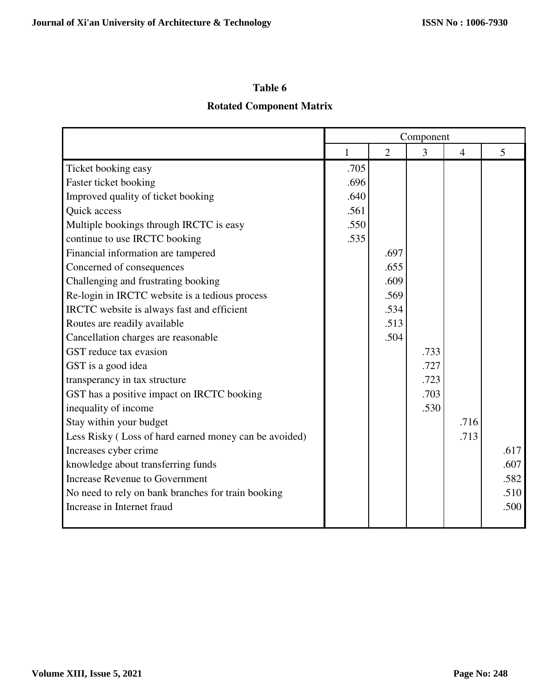# **Table 6**

# **Rotated Component Matrix**

|                                                       |      |                | Component |                |      |
|-------------------------------------------------------|------|----------------|-----------|----------------|------|
|                                                       | 1    | $\overline{2}$ | 3         | $\overline{4}$ | 5    |
| Ticket booking easy                                   | .705 |                |           |                |      |
| Faster ticket booking                                 | .696 |                |           |                |      |
| Improved quality of ticket booking                    | .640 |                |           |                |      |
| Quick access                                          | .561 |                |           |                |      |
| Multiple bookings through IRCTC is easy               | .550 |                |           |                |      |
| continue to use IRCTC booking                         | .535 |                |           |                |      |
| Financial information are tampered                    |      | .697           |           |                |      |
| Concerned of consequences                             |      | .655           |           |                |      |
| Challenging and frustrating booking                   |      | .609           |           |                |      |
| Re-login in IRCTC website is a tedious process        |      | .569           |           |                |      |
| IRCTC website is always fast and efficient            |      | .534           |           |                |      |
| Routes are readily available                          |      | .513           |           |                |      |
| Cancellation charges are reasonable                   |      | .504           |           |                |      |
| GST reduce tax evasion                                |      |                | .733      |                |      |
| GST is a good idea                                    |      |                | .727      |                |      |
| transperancy in tax structure                         |      |                | .723      |                |      |
| GST has a positive impact on IRCTC booking            |      |                | .703      |                |      |
| inequality of income                                  |      |                | .530      |                |      |
| Stay within your budget                               |      |                |           | .716           |      |
| Less Risky (Loss of hard earned money can be avoided) |      |                |           | .713           |      |
| Increases cyber crime                                 |      |                |           |                | .617 |
| knowledge about transferring funds                    |      |                |           |                | .607 |
| <b>Increase Revenue to Government</b>                 |      |                |           |                | .582 |
| No need to rely on bank branches for train booking    |      |                |           |                | .510 |
| Increase in Internet fraud                            |      |                |           |                | .500 |
|                                                       |      |                |           |                |      |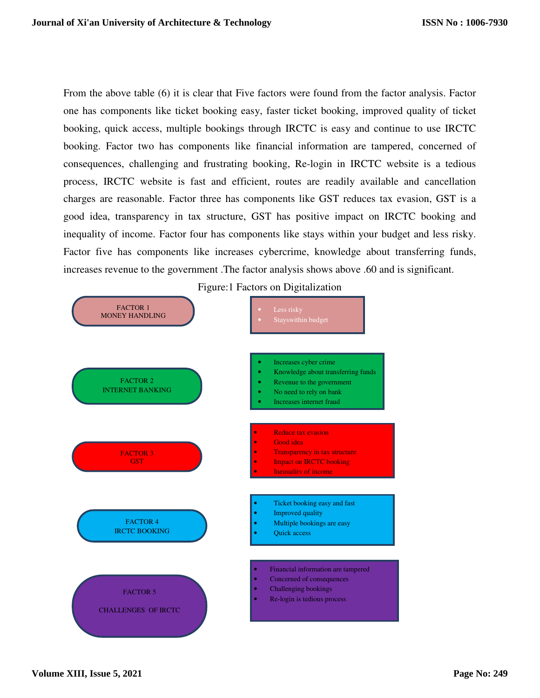From the above table (6) it is clear that Five factors were found from the factor analysis. Factor one has components like ticket booking easy, faster ticket booking, improved quality of ticket booking, quick access, multiple bookings through IRCTC is easy and continue to use IRCTC booking. Factor two has components like financial information are tampered, concerned of consequences, challenging and frustrating booking, Re-login in IRCTC website is a tedious process, IRCTC website is fast and efficient, routes are readily available and cancellation charges are reasonable. Factor three has components like GST reduces tax evasion, GST is a good idea, transparency in tax structure, GST has positive impact on IRCTC booking and inequality of income. Factor four has components like stays within your budget and less risky. Factor five has components like increases cybercrime, knowledge about transferring funds, increases revenue to the government .The factor analysis shows above .60 and is significant.

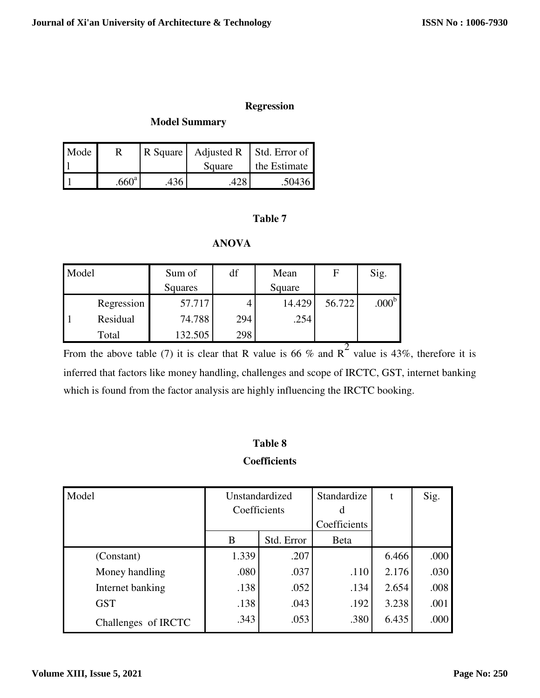#### **Regression**

#### **Model Summary**

| Mode |                   |      |        | R Square   Adjusted R   Std. Error of |
|------|-------------------|------|--------|---------------------------------------|
|      |                   |      | Square | the Estimate                          |
|      | .660 <sup>a</sup> | .436 |        | .50436                                |

# **Table 7**

# **ANOVA**

| Model |            | Sum of  | df  | Mean   | F      | Sig.              |
|-------|------------|---------|-----|--------|--------|-------------------|
|       |            | Squares |     | Square |        |                   |
|       | Regression | 57.717  |     | 14.429 | 56.722 | .000 <sup>b</sup> |
|       | Residual   | 74.788  | 294 | .254   |        |                   |
|       | Total      | 132.505 | 298 |        |        |                   |

From the above table (7) it is clear that R value is 66 % and R<sup>2</sup> value is 43%, therefore it is inferred that factors like money handling, challenges and scope of IRCTC, GST, internet banking which is found from the factor analysis are highly influencing the IRCTC booking.

# **Table 8**

# **Coefficients**

| Model               | Unstandardized<br>Coefficients |            | Standardize  | t     | Sig. |
|---------------------|--------------------------------|------------|--------------|-------|------|
|                     |                                |            | Coefficients |       |      |
|                     | B                              | Std. Error | Beta         |       |      |
| (Constant)          | 1.339                          | .207       |              | 6.466 | .000 |
| Money handling      | .080                           | .037       | .110         | 2.176 | .030 |
| Internet banking    | .138                           | .052       | .134         | 2.654 | .008 |
| <b>GST</b>          | .138                           | .043       | .192         | 3.238 | .001 |
| Challenges of IRCTC | .343                           | .053       | .380         | 6.435 | .000 |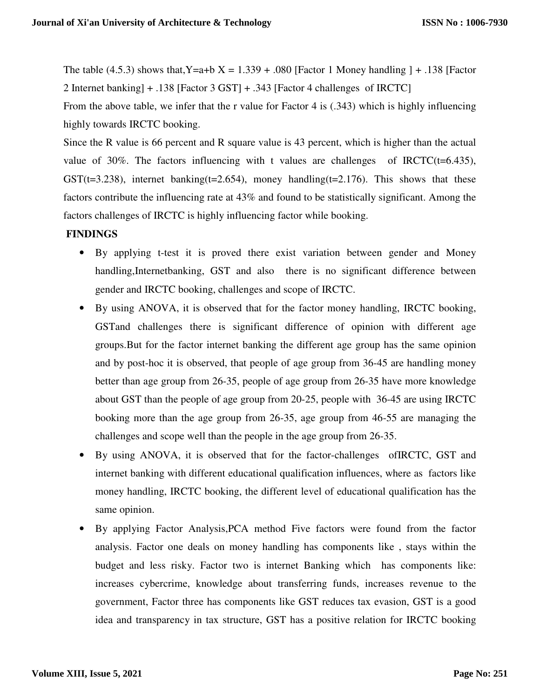The table  $(4.5.3)$  shows that, Y=a+b X = 1.339 + .080 [Factor 1 Money handling ] + .138 [Factor 2 Internet banking] + .138 [Factor 3 GST] + .343 [Factor 4 challenges of IRCTC]

From the above table, we infer that the r value for Factor 4 is (.343) which is highly influencing highly towards IRCTC booking.

Since the R value is 66 percent and R square value is 43 percent, which is higher than the actual value of 30%. The factors influencing with t values are challenges of IRCTC( $t=6.435$ ), GST( $t=3.238$ ), internet banking( $t=2.654$ ), money handling( $t=2.176$ ). This shows that these factors contribute the influencing rate at 43% and found to be statistically significant. Among the factors challenges of IRCTC is highly influencing factor while booking.

# **FINDINGS**

- By applying t-test it is proved there exist variation between gender and Money handling,Internetbanking, GST and also there is no significant difference between gender and IRCTC booking, challenges and scope of IRCTC.
- By using ANOVA, it is observed that for the factor money handling, IRCTC booking, GSTand challenges there is significant difference of opinion with different age groups.But for the factor internet banking the different age group has the same opinion and by post-hoc it is observed, that people of age group from 36-45 are handling money better than age group from 26-35, people of age group from 26-35 have more knowledge about GST than the people of age group from 20-25, people with 36-45 are using IRCTC booking more than the age group from 26-35, age group from 46-55 are managing the challenges and scope well than the people in the age group from 26-35.
- By using ANOVA, it is observed that for the factor-challenges ofIRCTC, GST and internet banking with different educational qualification influences, where as factors like money handling, IRCTC booking, the different level of educational qualification has the same opinion.
- By applying Factor Analysis,PCA method Five factors were found from the factor analysis. Factor one deals on money handling has components like , stays within the budget and less risky. Factor two is internet Banking which has components like: increases cybercrime, knowledge about transferring funds, increases revenue to the government, Factor three has components like GST reduces tax evasion, GST is a good idea and transparency in tax structure, GST has a positive relation for IRCTC booking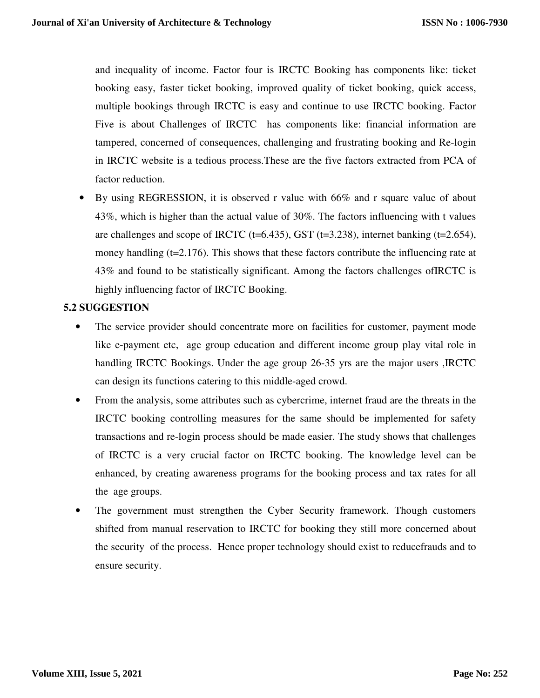and inequality of income. Factor four is IRCTC Booking has components like: ticket booking easy, faster ticket booking, improved quality of ticket booking, quick access, multiple bookings through IRCTC is easy and continue to use IRCTC booking. Factor Five is about Challenges of IRCTC has components like: financial information are tampered, concerned of consequences, challenging and frustrating booking and Re-login in IRCTC website is a tedious process.These are the five factors extracted from PCA of factor reduction.

• By using REGRESSION, it is observed r value with 66% and r square value of about 43%, which is higher than the actual value of 30%. The factors influencing with t values are challenges and scope of IRCTC ( $t=6.435$ ), GST ( $t=3.238$ ), internet banking ( $t=2.654$ ), money handling  $(t=2.176)$ . This shows that these factors contribute the influencing rate at 43% and found to be statistically significant. Among the factors challenges ofIRCTC is highly influencing factor of IRCTC Booking.

# **5.2 SUGGESTION**

- The service provider should concentrate more on facilities for customer, payment mode like e-payment etc, age group education and different income group play vital role in handling IRCTC Bookings. Under the age group 26-35 yrs are the major users ,IRCTC can design its functions catering to this middle-aged crowd.
- From the analysis, some attributes such as cybercrime, internet fraud are the threats in the IRCTC booking controlling measures for the same should be implemented for safety transactions and re-login process should be made easier. The study shows that challenges of IRCTC is a very crucial factor on IRCTC booking. The knowledge level can be enhanced, by creating awareness programs for the booking process and tax rates for all the age groups.
- The government must strengthen the Cyber Security framework. Though customers shifted from manual reservation to IRCTC for booking they still more concerned about the security of the process. Hence proper technology should exist to reducefrauds and to ensure security.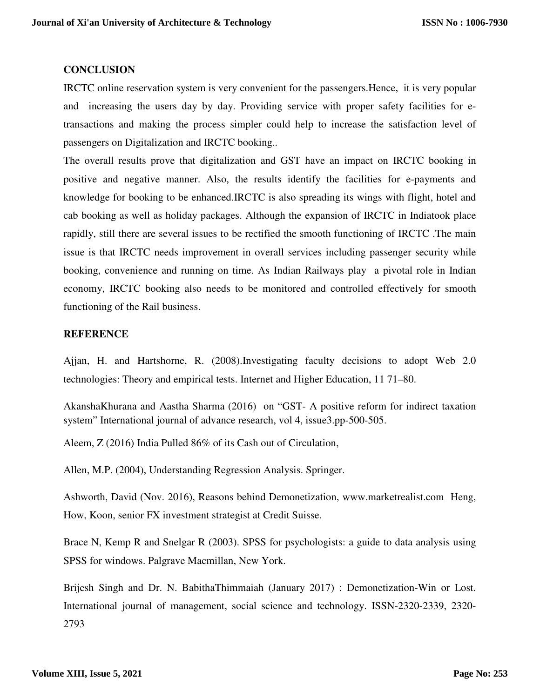# **CONCLUSION**

IRCTC online reservation system is very convenient for the passengers.Hence, it is very popular and increasing the users day by day. Providing service with proper safety facilities for etransactions and making the process simpler could help to increase the satisfaction level of passengers on Digitalization and IRCTC booking..

The overall results prove that digitalization and GST have an impact on IRCTC booking in positive and negative manner. Also, the results identify the facilities for e-payments and knowledge for booking to be enhanced.IRCTC is also spreading its wings with flight, hotel and cab booking as well as holiday packages. Although the expansion of IRCTC in Indiatook place rapidly, still there are several issues to be rectified the smooth functioning of IRCTC .The main issue is that IRCTC needs improvement in overall services including passenger security while booking, convenience and running on time. As Indian Railways play a pivotal role in Indian economy, IRCTC booking also needs to be monitored and controlled effectively for smooth functioning of the Rail business.

# **REFERENCE**

Ajjan, H. and Hartshorne, R. (2008).Investigating faculty decisions to adopt Web 2.0 technologies: Theory and empirical tests. Internet and Higher Education, 11 71–80.

AkanshaKhurana and Aastha Sharma (2016) on "GST- A positive reform for indirect taxation system" International journal of advance research, vol 4, issue3.pp-500-505.

Aleem, Z (2016) India Pulled 86% of its Cash out of Circulation,

Allen, M.P. (2004), Understanding Regression Analysis. Springer.

Ashworth, David (Nov. 2016), Reasons behind Demonetization, www.marketrealist.com Heng, How, Koon, senior FX investment strategist at Credit Suisse.

Brace N, Kemp R and Snelgar R (2003). SPSS for psychologists: a guide to data analysis using SPSS for windows. Palgrave Macmillan, New York.

Brijesh Singh and Dr. N. BabithaThimmaiah (January 2017) : Demonetization-Win or Lost. International journal of management, social science and technology. ISSN-2320-2339, 2320- 2793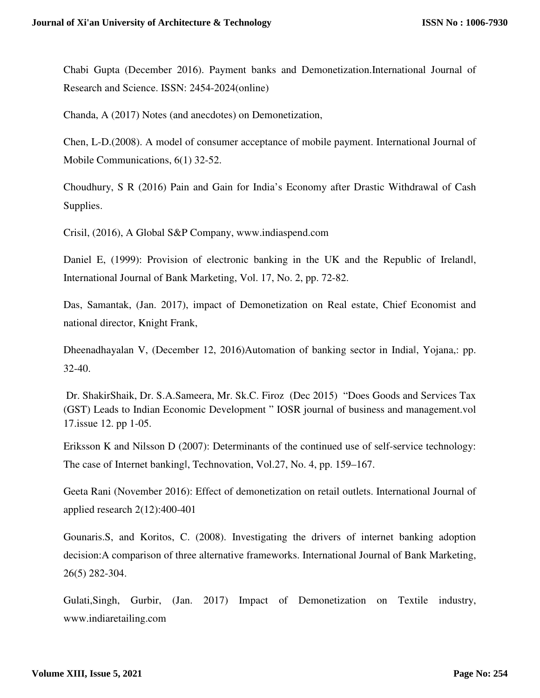Chabi Gupta (December 2016). Payment banks and Demonetization.International Journal of Research and Science. ISSN: 2454-2024(online)

Chanda, A (2017) Notes (and anecdotes) on Demonetization,

Chen, L-D.(2008). A model of consumer acceptance of mobile payment. International Journal of Mobile Communications, 6(1) 32-52.

Choudhury, S R (2016) Pain and Gain for India's Economy after Drastic Withdrawal of Cash Supplies.

Crisil, (2016), A Global S&P Company, www.indiaspend.com

Daniel E, (1999): Provision of electronic banking in the UK and the Republic of Irelandl, International Journal of Bank Marketing, Vol. 17, No. 2, pp. 72-82.

Das, Samantak, (Jan. 2017), impact of Demonetization on Real estate, Chief Economist and national director, Knight Frank,

Dheenadhayalan V, (December 12, 2016)Automation of banking sector in Indial, Yojana,: pp. 32-40.

 Dr. ShakirShaik, Dr. S.A.Sameera, Mr. Sk.C. Firoz (Dec 2015) "Does Goods and Services Tax (GST) Leads to Indian Economic Development " IOSR journal of business and management.vol 17.issue 12. pp 1-05.

Eriksson K and Nilsson D (2007): Determinants of the continued use of self-service technology: The case of Internet banking‖, Technovation, Vol.27, No. 4, pp. 159–167.

Geeta Rani (November 2016): Effect of demonetization on retail outlets. International Journal of applied research 2(12):400-401

Gounaris.S, and Koritos, C. (2008). Investigating the drivers of internet banking adoption decision:A comparison of three alternative frameworks. International Journal of Bank Marketing, 26(5) 282-304.

Gulati,Singh, Gurbir, (Jan. 2017) Impact of Demonetization on Textile industry, www.indiaretailing.com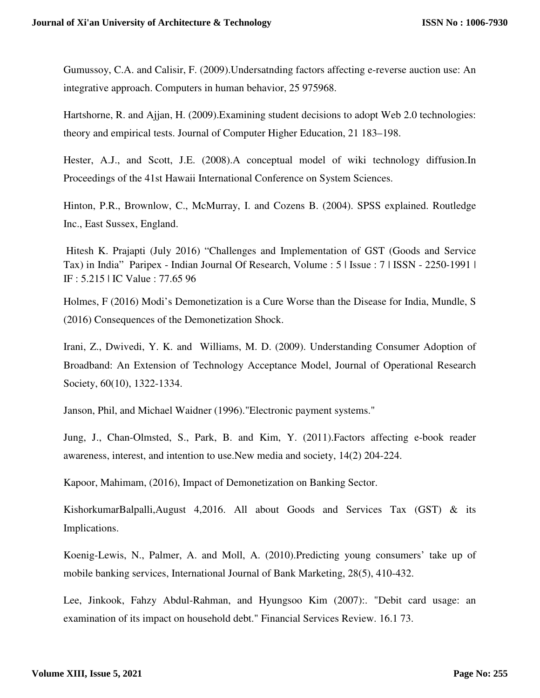Gumussoy, C.A. and Calisir, F. (2009).Undersatnding factors affecting e-reverse auction use: An integrative approach. Computers in human behavior, 25 975968.

Hartshorne, R. and Ajjan, H. (2009).Examining student decisions to adopt Web 2.0 technologies: theory and empirical tests. Journal of Computer Higher Education, 21 183–198.

Hester, A.J., and Scott, J.E. (2008).A conceptual model of wiki technology diffusion.In Proceedings of the 41st Hawaii International Conference on System Sciences.

Hinton, P.R., Brownlow, C., McMurray, I. and Cozens B. (2004). SPSS explained. Routledge Inc., East Sussex, England.

 Hitesh K. Prajapti (July 2016) "Challenges and Implementation of GST (Goods and Service Tax) in India" Paripex - Indian Journal Of Research, Volume : 5 | Issue : 7 | ISSN - 2250-1991 | IF : 5.215 | IC Value : 77.65 96

Holmes, F (2016) Modi's Demonetization is a Cure Worse than the Disease for India, Mundle, S (2016) Consequences of the Demonetization Shock.

Irani, Z., Dwivedi, Y. K. and Williams, M. D. (2009). Understanding Consumer Adoption of Broadband: An Extension of Technology Acceptance Model, Journal of Operational Research Society, 60(10), 1322-1334.

Janson, Phil, and Michael Waidner (1996)."Electronic payment systems."

Jung, J., Chan-Olmsted, S., Park, B. and Kim, Y. (2011).Factors affecting e-book reader awareness, interest, and intention to use.New media and society, 14(2) 204-224.

Kapoor, Mahimam, (2016), Impact of Demonetization on Banking Sector.

KishorkumarBalpalli,August 4,2016. All about Goods and Services Tax (GST) & its Implications.

Koenig-Lewis, N., Palmer, A. and Moll, A. (2010).Predicting young consumers' take up of mobile banking services, International Journal of Bank Marketing, 28(5), 410-432.

Lee, Jinkook, Fahzy Abdul-Rahman, and Hyungsoo Kim (2007):. "Debit card usage: an examination of its impact on household debt." Financial Services Review. 16.1 73.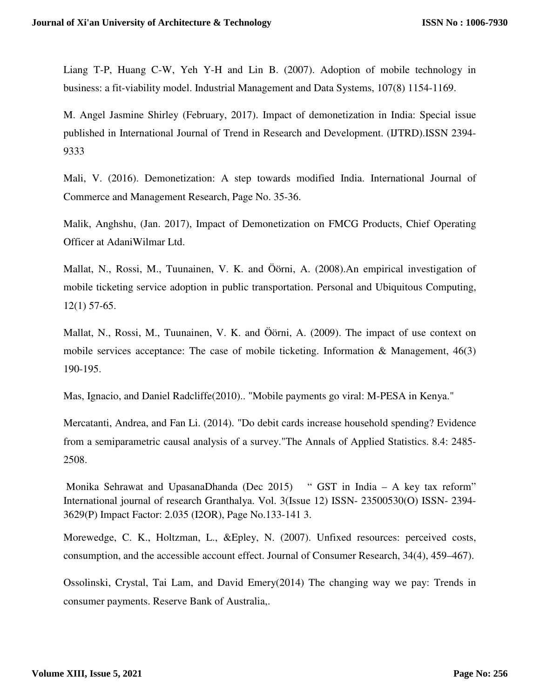Liang T-P, Huang C-W, Yeh Y-H and Lin B. (2007). Adoption of mobile technology in business: a fit-viability model. Industrial Management and Data Systems, 107(8) 1154-1169.

M. Angel Jasmine Shirley (February, 2017). Impact of demonetization in India: Special issue published in International Journal of Trend in Research and Development. (IJTRD).ISSN 2394- 9333

Mali, V. (2016). Demonetization: A step towards modified India. International Journal of Commerce and Management Research, Page No. 35-36.

Malik, Anghshu, (Jan. 2017), Impact of Demonetization on FMCG Products, Chief Operating Officer at AdaniWilmar Ltd.

Mallat, N., Rossi, M., Tuunainen, V. K. and Öörni, A. (2008).An empirical investigation of mobile ticketing service adoption in public transportation. Personal and Ubiquitous Computing, 12(1) 57-65.

Mallat, N., Rossi, M., Tuunainen, V. K. and Öörni, A. (2009). The impact of use context on mobile services acceptance: The case of mobile ticketing. Information & Management, 46(3) 190-195.

Mas, Ignacio, and Daniel Radcliffe(2010).. "Mobile payments go viral: M-PESA in Kenya."

Mercatanti, Andrea, and Fan Li. (2014). "Do debit cards increase household spending? Evidence from a semiparametric causal analysis of a survey."The Annals of Applied Statistics. 8.4: 2485- 2508.

 Monika Sehrawat and UpasanaDhanda (Dec 2015) " GST in India – A key tax reform" International journal of research Granthalya. Vol. 3(Issue 12) ISSN- 23500530(O) ISSN- 2394- 3629(P) Impact Factor: 2.035 (I2OR), Page No.133-141 3.

Morewedge, C. K., Holtzman, L., &Epley, N. (2007). Unfixed resources: perceived costs, consumption, and the accessible account effect. Journal of Consumer Research, 34(4), 459–467).

Ossolinski, Crystal, Tai Lam, and David Emery(2014) The changing way we pay: Trends in consumer payments. Reserve Bank of Australia,.